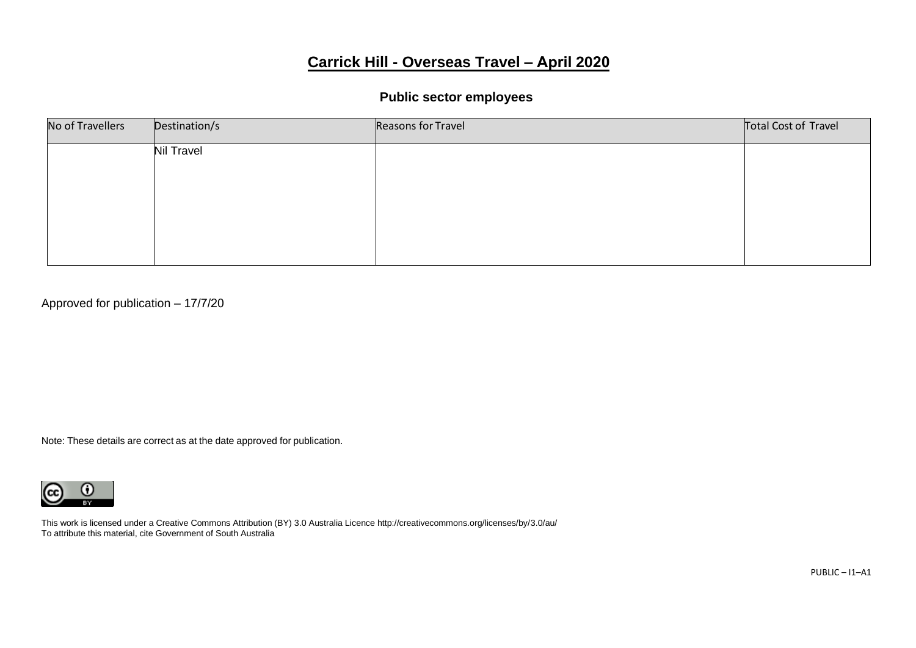# **Carrick Hill - Overseas Travel – April 2020**

# **Public sector employees**

| No of Travellers | Destination/s     | Reasons for Travel | Total Cost of Travel |
|------------------|-------------------|--------------------|----------------------|
|                  | <b>Nil Travel</b> |                    |                      |
|                  |                   |                    |                      |
|                  |                   |                    |                      |
|                  |                   |                    |                      |
|                  |                   |                    |                      |

Approved for publication – 17/7/20

Note: These details are correct as at the date approved for publication.



This work is licensed under a Creative Commons Attribution (BY) 3.0 Australia Licence http://creativecommons.org/licenses/by/3.0/au/ To attribute this material, cite Government of South Australia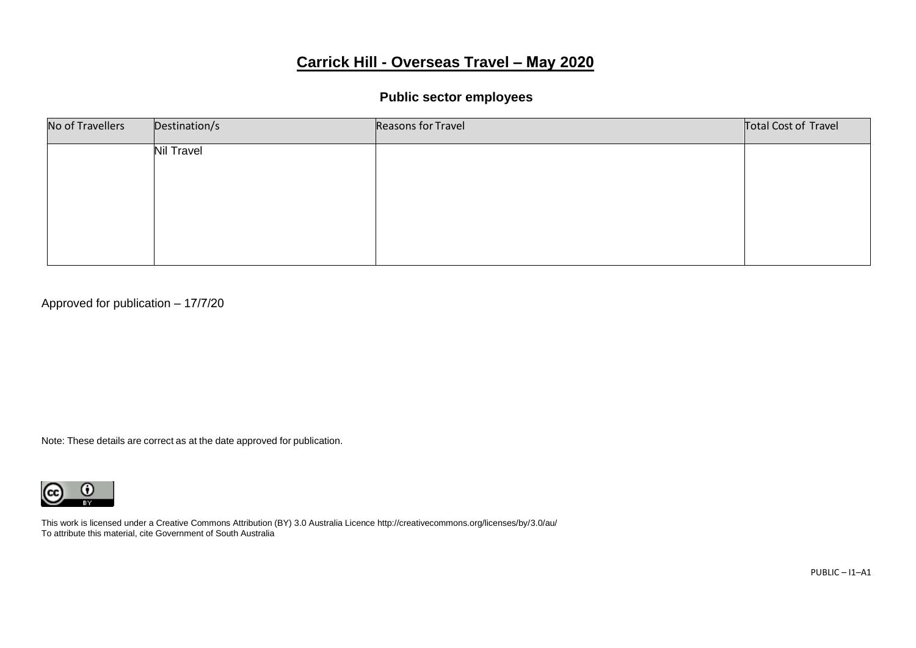# **Carrick Hill - Overseas Travel – May 2020**

### **Public sector employees**

| No of Travellers | Destination/s     | Reasons for Travel | Total Cost of Travel |
|------------------|-------------------|--------------------|----------------------|
|                  | <b>Nil Travel</b> |                    |                      |
|                  |                   |                    |                      |
|                  |                   |                    |                      |
|                  |                   |                    |                      |
|                  |                   |                    |                      |

Approved for publication – 17/7/20

Note: These details are correct as at the date approved for publication.



This work is licensed under a Creative Commons Attribution (BY) 3.0 Australia Licence http://creativecommons.org/licenses/by/3.0/au/ To attribute this material, cite Government of South Australia